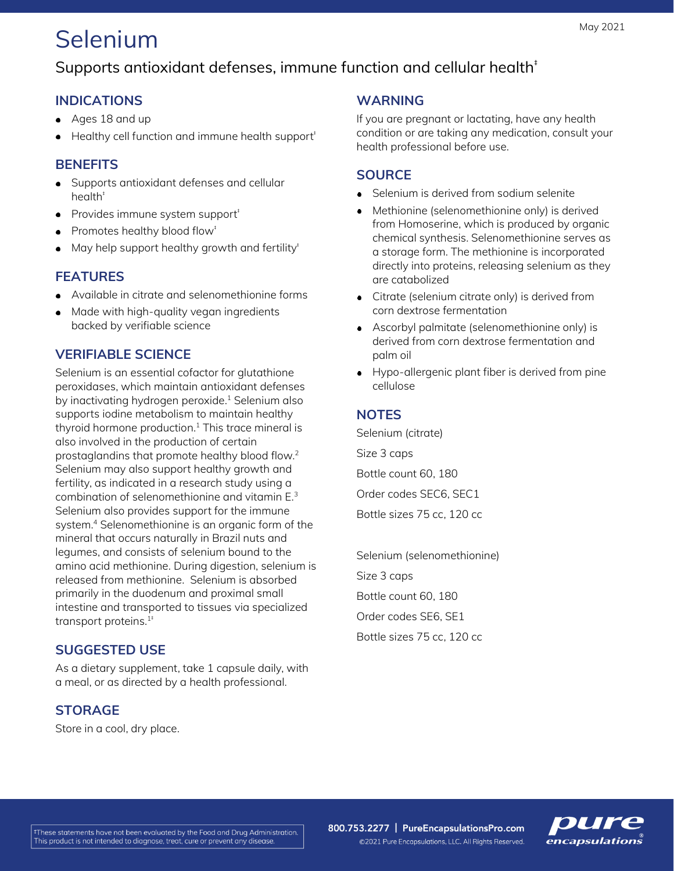# Selenium

## Supports antioxidant defenses, immune function and cellular health<sup>#</sup>

## **INDICATIONS**

- Ages 18 and up
- $\bullet$  Healthy cell function and immune health support<sup> $\dagger$ </sup>

## **BENEFITS**

- Supports antioxidant defenses and cellular health<sup>#</sup>
- Provides immune system support<sup>#</sup>
- Promotes healthy blood flow<sup>#</sup>
- $\bullet$  May help support healthy growth and fertility<sup>t</sup>

## **FEATURES**

- Available in citrate and selenomethionine forms
- Made with high-quality vegan ingredients backed by verifiable science

## **VERIFIABLE SCIENCE**

Selenium is an essential cofactor for glutathione peroxidases, which maintain antioxidant defenses by inactivating hydrogen peroxide. <sup>1</sup> Selenium also supports iodine metabolism to maintain healthy thyroid hormone production. $1$  This trace mineral is also involved in the production of certain prostaglandins that promote healthy blood flow.<sup>2</sup> Selenium may also support healthy growth and fertility, as indicated in a research study using a combination of selenomethionine and vitamin E.<sup>3</sup> Selenium also provides support for the immune system.<sup>4</sup> Selenomethionine is an organic form of the mineral that occurs naturally in Brazil nuts and legumes, and consists of selenium bound to the amino acid methionine. During digestion, selenium is released from methionine. Selenium is absorbed primarily in the duodenum and proximal small intestine and transported to tissues via specialized transport proteins. $1^+$ 

#### **SUGGESTED USE**

As a dietary supplement, take 1 capsule daily, with a meal, or as directed by a health professional.

## **STORAGE**

Store in a cool, dry place.

#### **WARNING**

If you are pregnant or lactating, have any health condition or are taking any medication, consult your health professional before use.

### **SOURCE**

- Selenium is derived from sodium selenite
- Methionine (selenomethionine only) is derived from Homoserine, which is produced by organic chemical synthesis. Selenomethionine serves as a storage form. The methionine is incorporated directly into proteins, releasing selenium as they are catabolized
- Citrate (selenium citrate only) is derived from corn dextrose fermentation
- Ascorbyl palmitate (selenomethionine only) is derived from corn dextrose fermentation and palm oil
- Hypo-allergenic plant fiber is derived from pine  $\bullet$ cellulose

## **NOTES**

Selenium (citrate) Size 3 caps Bottle count 60, 180 Order codes SEC6, SEC1 Bottle sizes 75 cc, 120 cc

Selenium (selenomethionine) Size 3 caps Bottle count 60, 180 Order codes SE6, SE1 Bottle sizes 75 cc, 120 cc

800.753.2277 | PureEncapsulationsPro.com ©2021 Pure Encapsulations, LLC. All Rights Reserved.